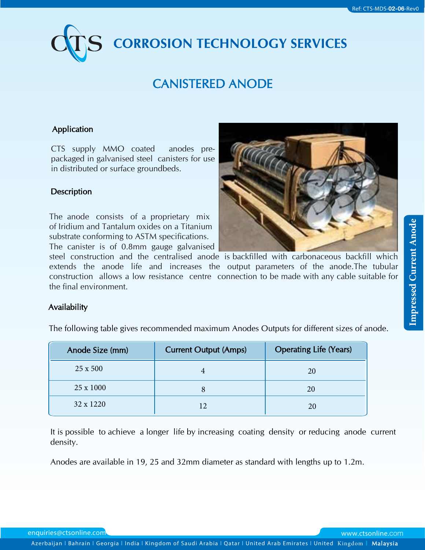# **CORROSION TECHNOLOGY SERVICES**

# CANISTERED ANODE

# Application

CTS supply MMO coated anodes prepackaged in galvanised steel canisters for use in distributed or surface groundbeds.

## **Description**

The anode consists of a proprietary mix of Iridium and Tantalum oxides on a Titanium substrate conforming to ASTM specifications. The canister is of 0.8mm gauge galvanised



steel construction and the centralised anode is backfilled with carbonaceous backfill which extends the anode life and increases the output parameters of the anode.The tubular construction allows a low resistance centre connection to be made with any cable suitable for the final environment.

#### Availability

The following table gives recommended maximum Anodes Outputs for different sizes of anode.

| Anode Size (mm) | <b>Current Output (Amps)</b> | <b>Operating Life (Years)</b> |
|-----------------|------------------------------|-------------------------------|
| 25 x 500        |                              | 20                            |
| 25 x 1000       |                              | 20                            |
| 32 x 1220       |                              | 20                            |

It is possible to achieve a longer life by increasing coating density or reducing anode current density.

Anodes are available in 19, 25 and 32mm diameter as standard with lengths up to 1.2m.

enquiries@ctsonline.com www.ctsonline.com

**Azerbaijan l Bahrain l Georgia l India l Kingdom of Saudi Arabia l Qatar l United Arab Emirates l United** Kingdom l Malaysia